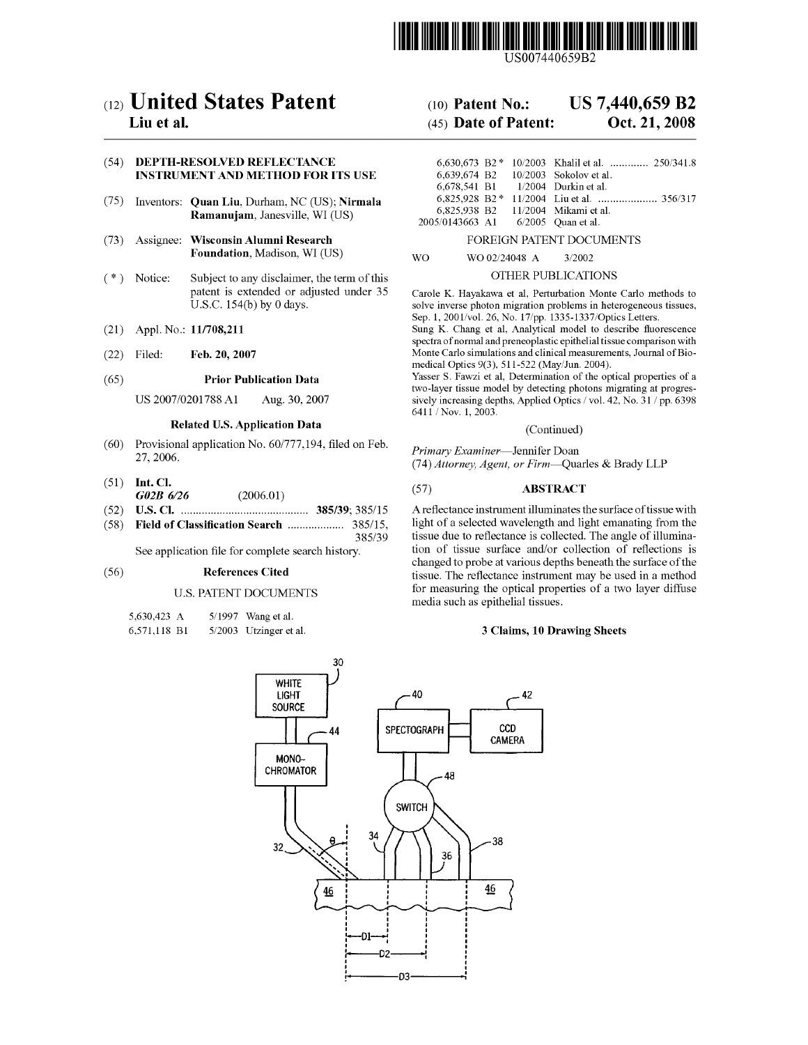

US007440659B2

# c12) **United States Patent**

# **Liu et al.**

# (54) **DEPTH-RESOLVED REFLECTANCE INSTRUMENT AND METHOD FOR ITS USE**

- (75) Inventors: **Quan Liu,** Durham, NC (US); **Nirmala Ramanujam,** Janesville, WI (US)
- (73) Assignee: **Wisconsin Alumni Research Foundation,** Madison, WI (US)
- $(*)$  Notice: Subject to any disclaimer, the term of this patent is extended or adjusted under 35 U.S.C. 154(b) by O days.
- (21) Appl. No.: **11/708,211**
- (22) Filed: **Feb.20,2007**

#### (65) **Prior Publication Data**

US 2007 /0201788 Al Aug. 30, 2007

# **Related U.S. Application Data**

- (60) Provisional application No. 60/777,194, filed on Feb. 27, 2006.
- (51) **Int. Cl.**  *G02B 6/26* (2006.01)
- (52) **U.S. Cl.** ........................................... **385/39;** 385/15
- (58) **Field of Classification Search** ................... 385/15, 385/39

See application file for complete search history.

#### (56) **References Cited**

# U.S. PATENT DOCUMENTS

5,630,423 A 6,571,118 Bl 5/1997 Wang et al. 5/2003 Utzinger et al.

# (IO) **Patent No.: US 7,440,659 B2**

# (45) **Date of Patent: Oct. 21, 2008**

|                 |  | 6.630.673 B2 * 10/2003 Khalil et al.  250/341.8 |
|-----------------|--|-------------------------------------------------|
|                 |  | 6.639.674 B2 10/2003 Sokolov et al.             |
|                 |  | 6.678.541 B1 1/2004 Durkin et al.               |
|                 |  |                                                 |
| 6.825.938 B2    |  | 11/2004 Mikami et al.                           |
| 2005/0143663 A1 |  | $6/2005$ Ouan et al.                            |

#### FOREIGN PATENT DOCUMENTS

WO WO 02/24048 A 3/2002

### OTHER PUBLICATIONS

Carole K. Hayakawa et al, Perturbation Monte Carlo methods to solve inverse photon migration problems in heterogeneous tissues, Sep. 1, 2001/vol. 26, No. 17/pp. 1335-1337/Optics Letters.

Sung K. Chang et al, Analytical model to describe fluorescence spectra of normal and preneoplastic epithelial tissue comparison with Monte Carlo simulations and clinical measurements, Journal of Biomedical Optics 9(3), 511-522 (May/Jun. 2004).

Yasser S. Fawzi et al, Determination of the optical properties of a two-layer tissue model by detecting photons migrating at progressively increasing depths, Applied Optics/ vol. 42, No. 31 / pp. 6398 6411 / Nov. 1, 2003.

### (Continued)

*Primary Examiner-Jennifer* Doan (74) *Attorney, Agent, or Firm-Quarles* & Brady LLP

# (57) **ABSTRACT**

A reflectance instrument illuminates the surface of tissue with light of a selected wavelength and light emanating from the tissue due to reflectance is collected. The angle of illumination of tissue surface and/or collection of reflections is changed to probe at various depths beneath the surface of the tissue. The reflectance instrument may be used in a method for measuring the optical properties of a two layer diffuse media such as epithelial tissues.

# **3 Claims, 10 Drawing Sheets**

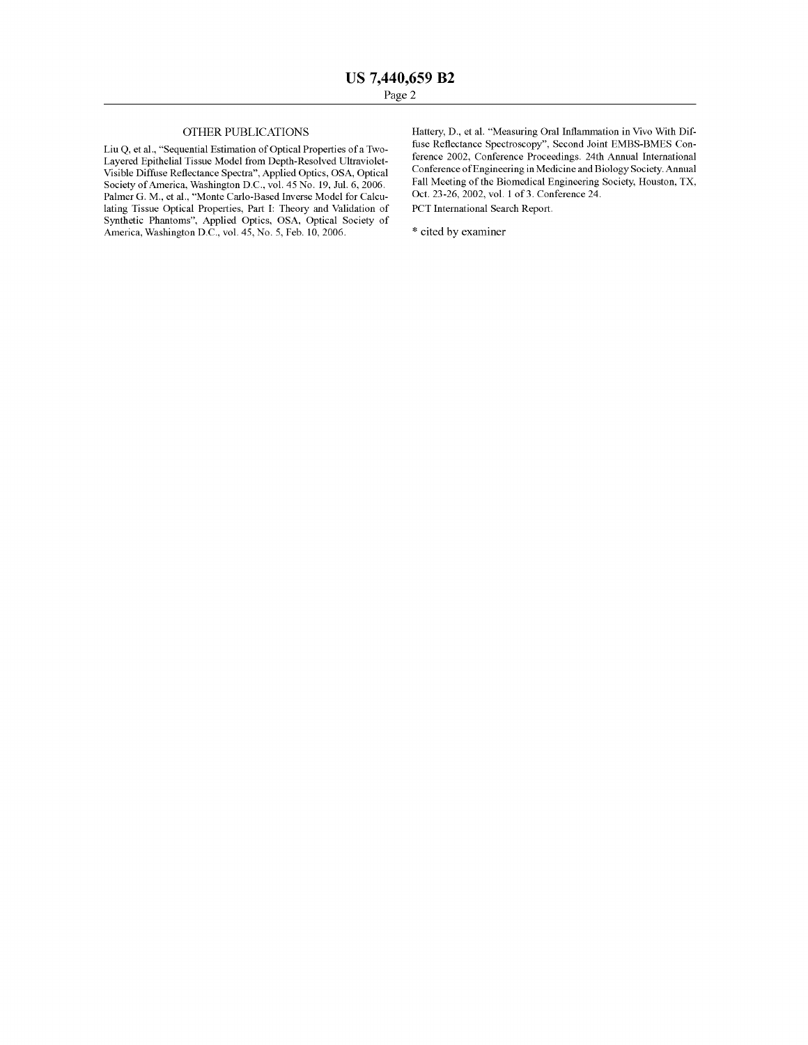# OTHER PUBLICATIONS

Liu Q, et al., "Sequential Estimation of Optical Properties ofa Two-Layered Epithelial Tissue Model from Depth-Resolved Ultraviolet-Visible Diffuse Reflectance Spectra", Applied Optics, OSA, Optical Society of America, Washington D.C., vol. 45 No. 19, Jul. 6, 2006. Palmer G. M., et al., "Monte Carlo-Based Inverse Model for Calculating Tissue Optical Properties, Part I: Theory and Validation of Synthetic Phantoms", Applied Optics, OSA, Optical Society of America, Washington D.C., vol. 45, No. 5, Feb. 10, 2006.

Hartery, D., et al. "Measuring Oral Inflammation in Vivo With Diffuse Reflectance Spectroscopy", Second Joint EMBS-BMES Conference 2002, Conference Proceedings. 24th Annual International Conference of Engineering in Medicine and Biology Society. Annual Fall Meeting of the Biomedical Engineering Society, Houston, TX, Oct. 23-26, 2002, vol. 1 of 3. Conference 24. PCT International Search Report.

\* cited by examiner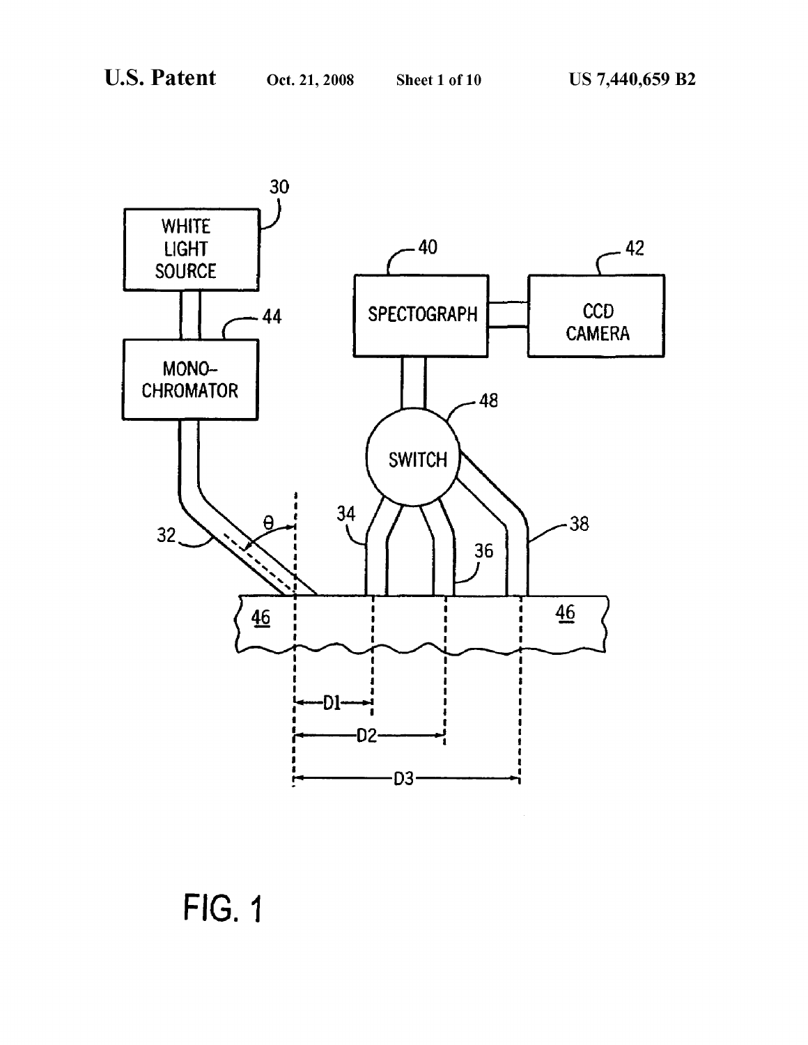

FIG. 1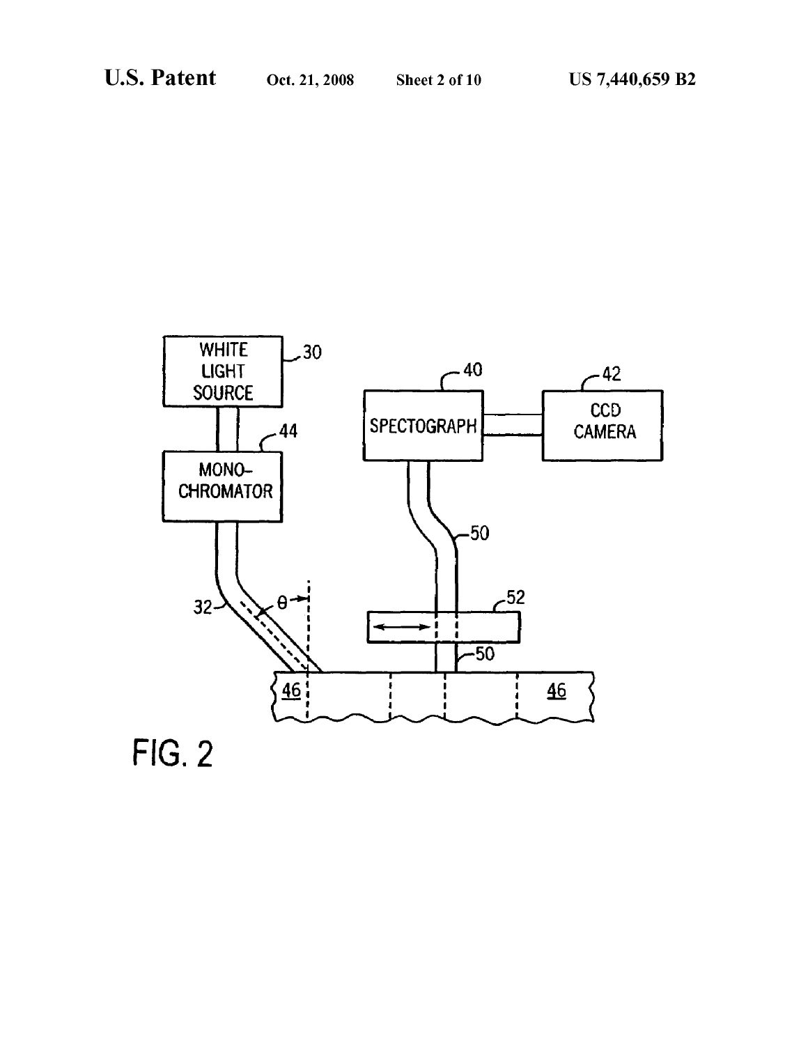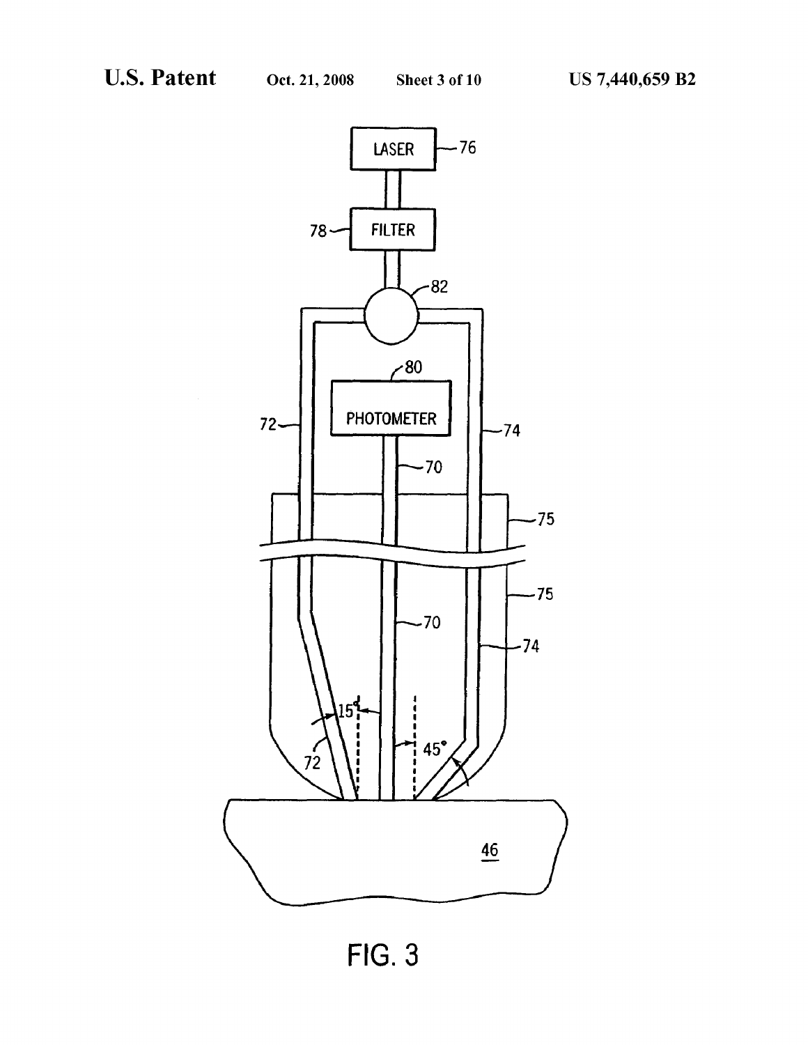

**FIG. 3**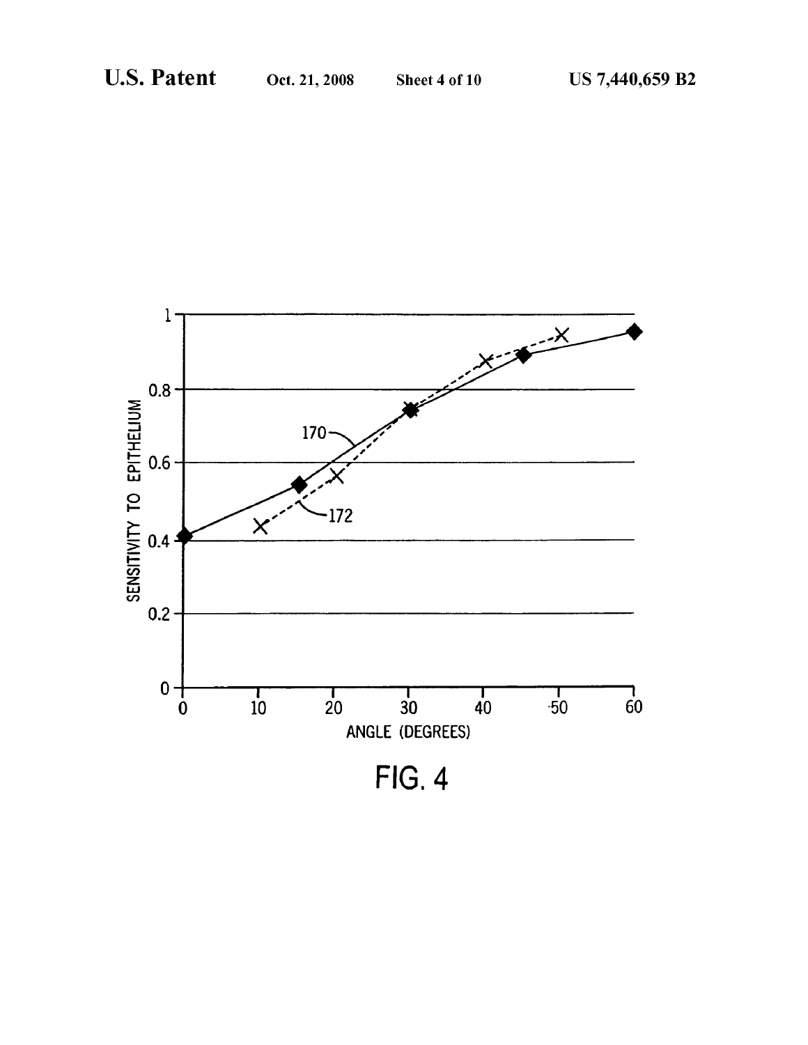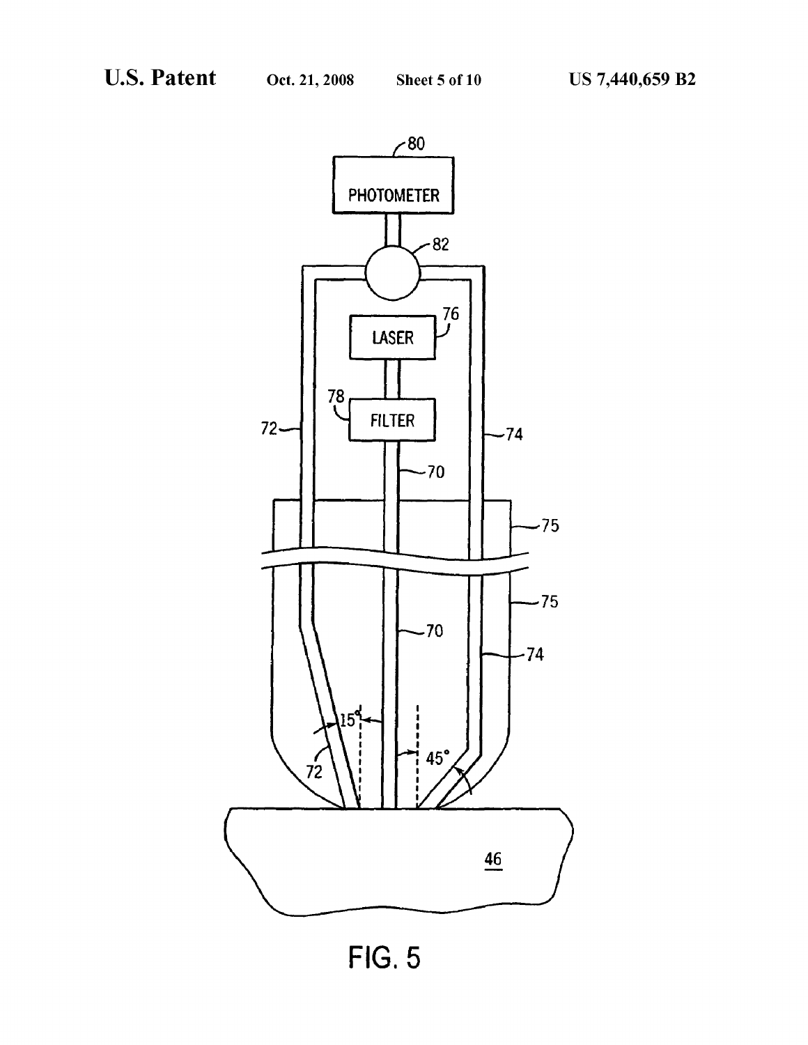

**FIG. 5**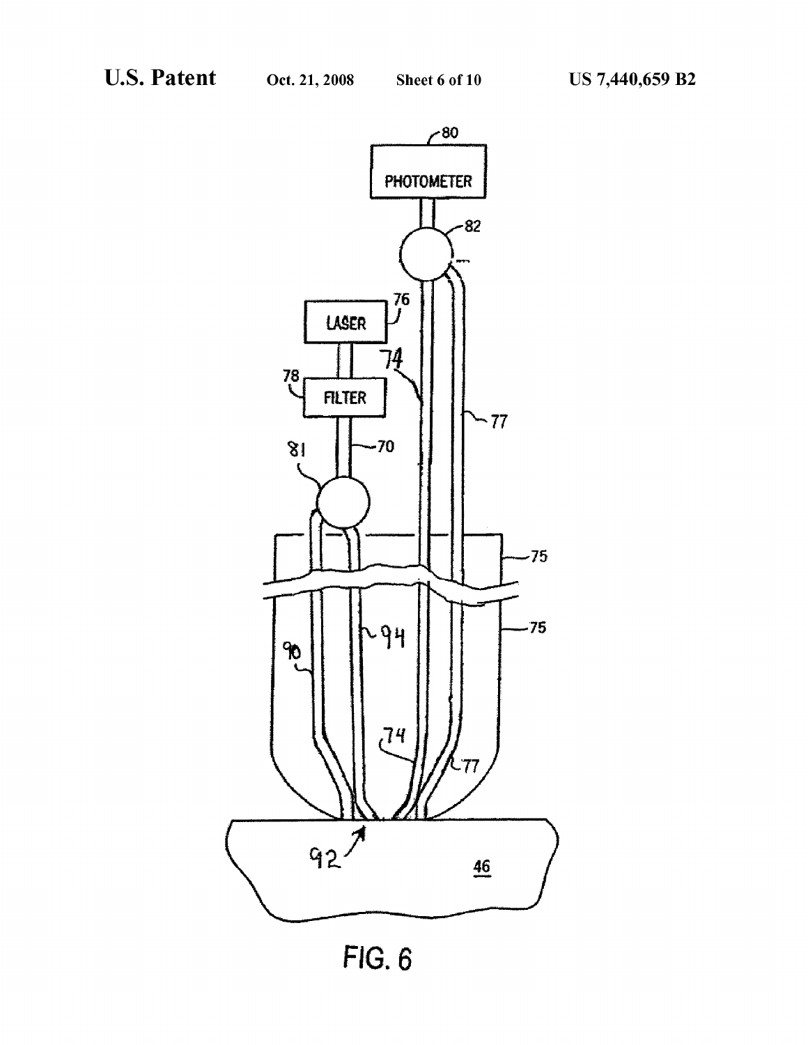

FIG. 6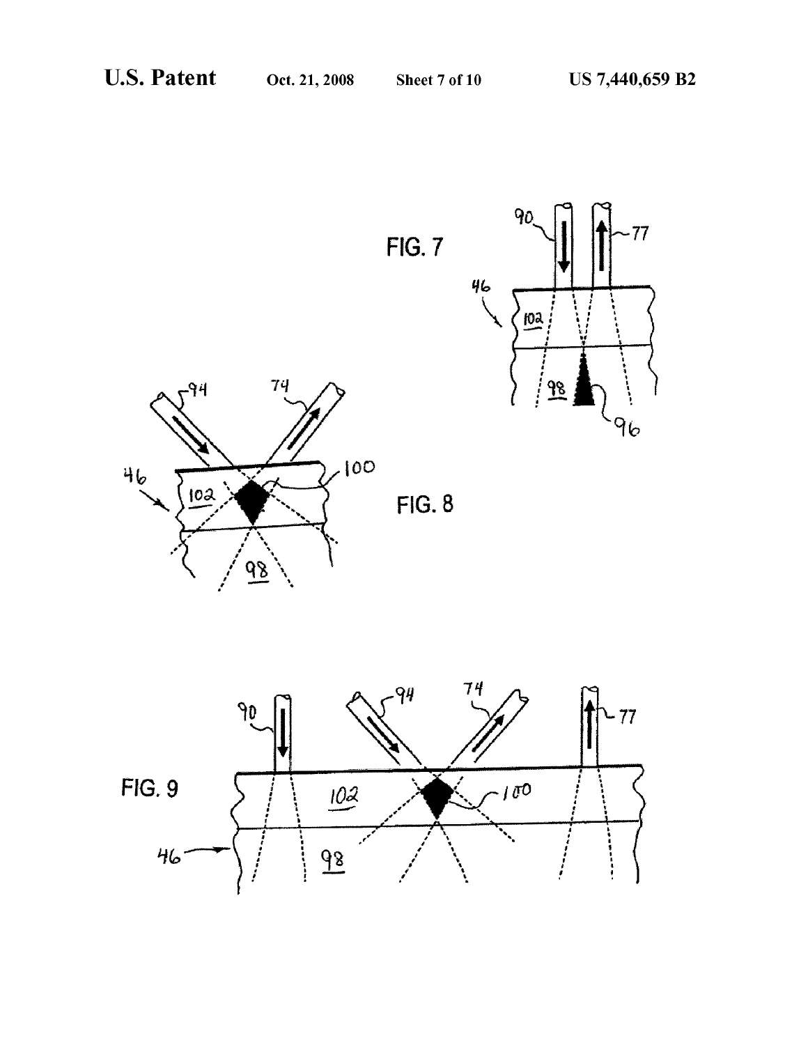





 $FIG. 8$ 

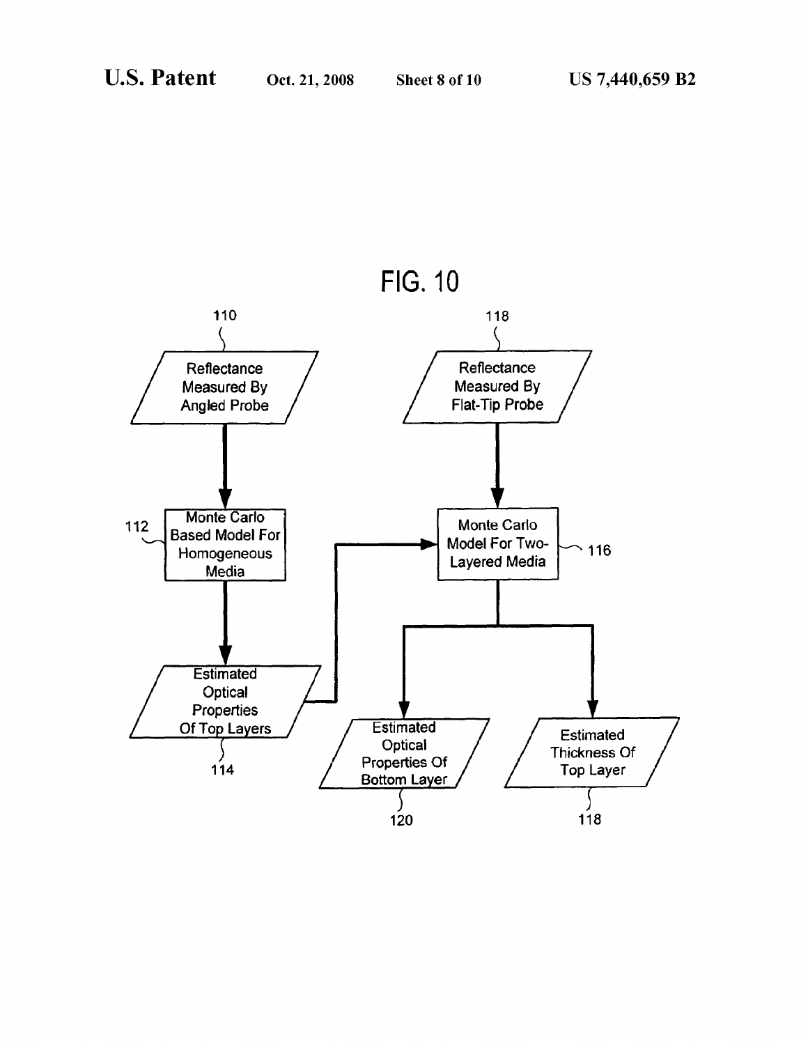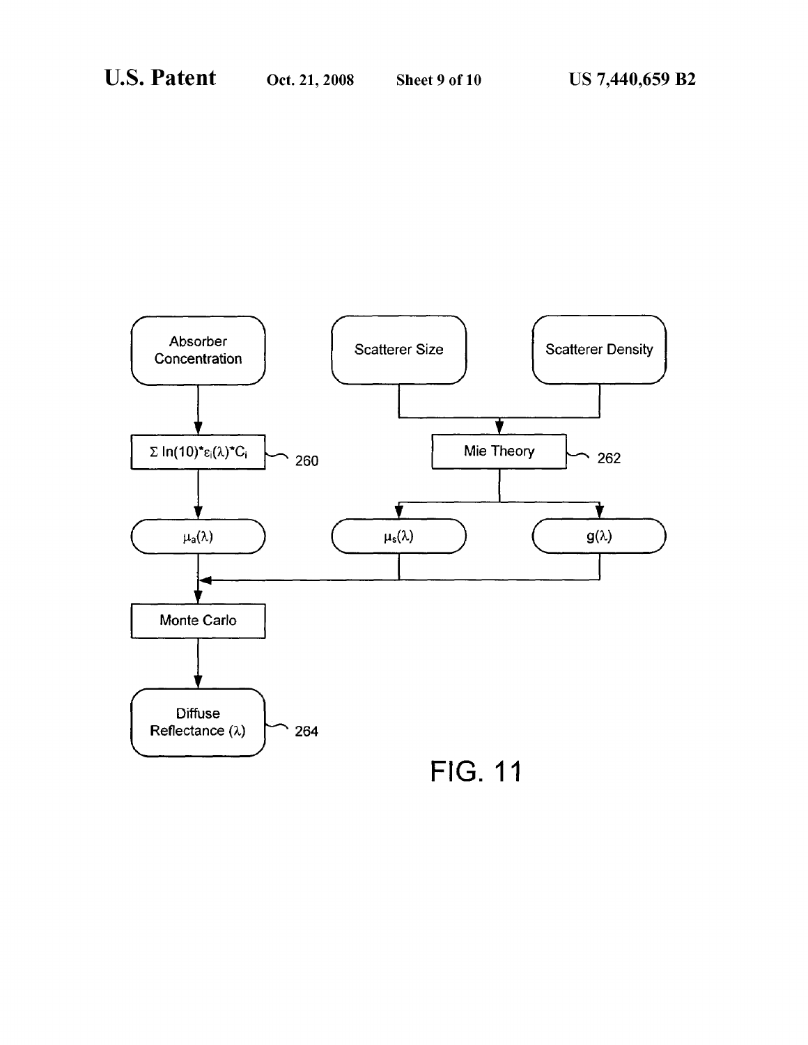

**FIG. 11**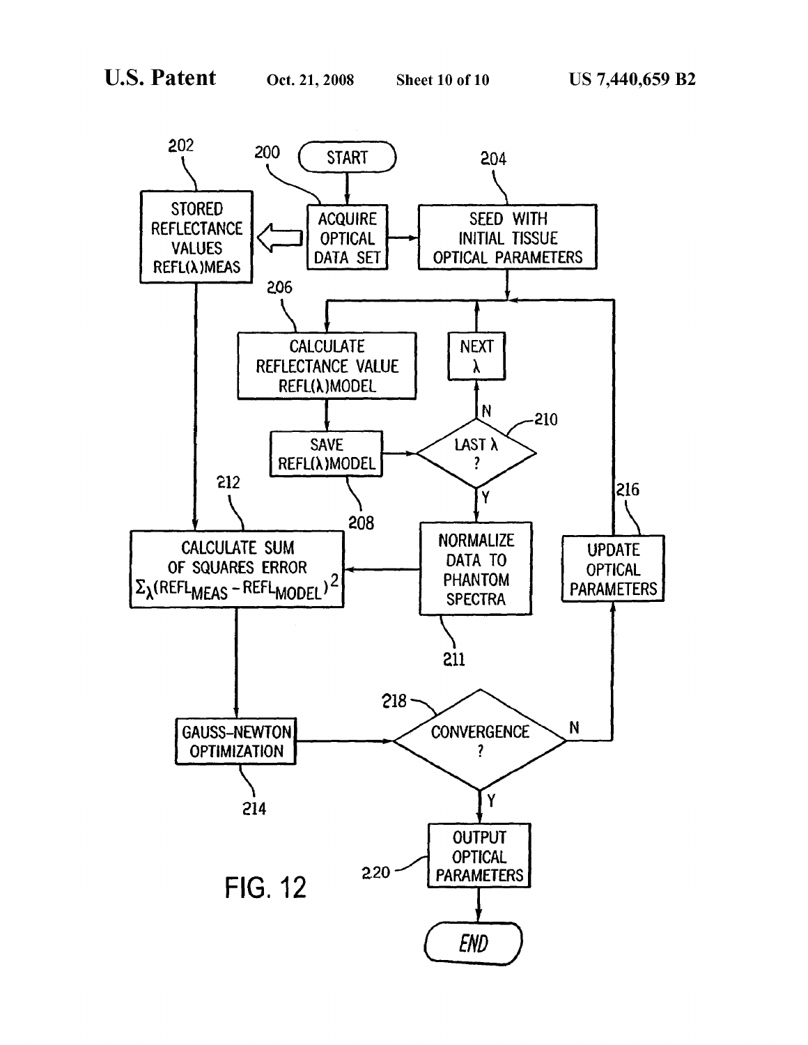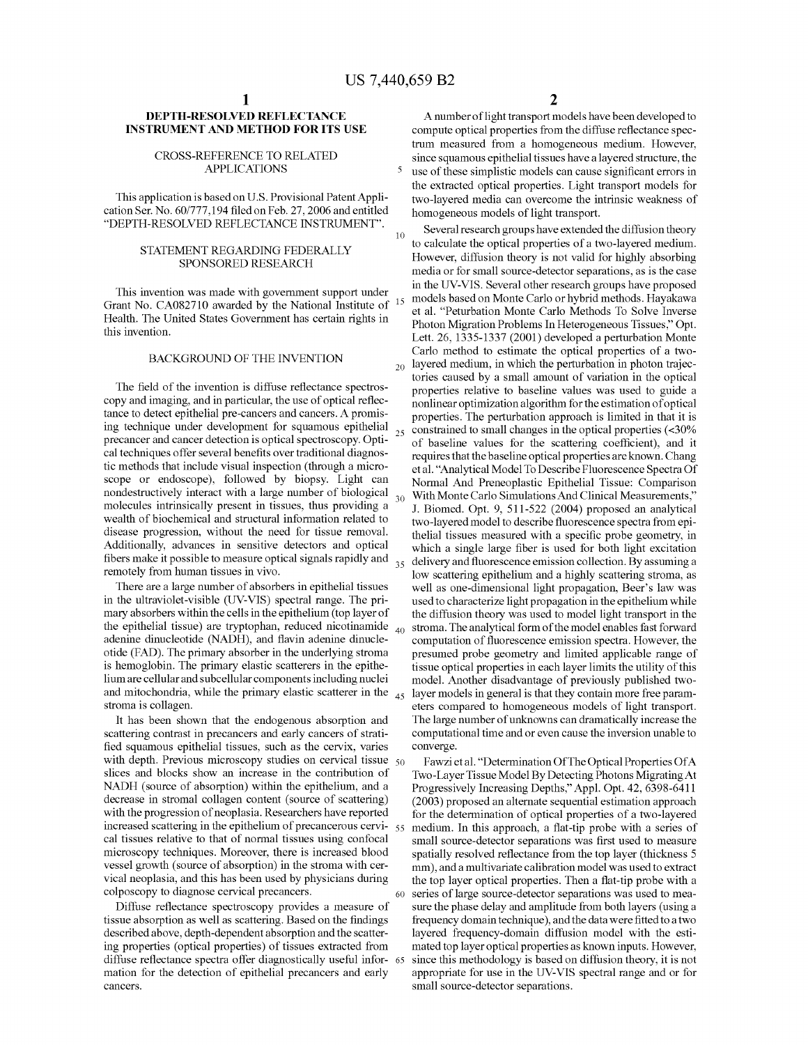# **DEPTH-RESOLVED REFLECTANCE INSTRUMENT AND METHOD FOR ITS USE**

### CROSS-REFERENCE TO RELATED APPLICATIONS

This application is based on U.S. Provisional Patent Application Ser. No. 60/777,194 filed on Feb. 27, 2006 and entitled "DEPTH-RESOLVED REFLECTANCE INSTRUMENT".

# STATEMENT REGARDING FEDERALLY SPONSORED RESEARCH

This invention was made with govermnent support under Grant No. CA082710 awarded by the National Institute of Health. The United States Government has certain rights in this invention.

### BACKGROUND OF THE INVENTION

The field of the invention is diffuse reflectance spectroscopy and imaging, and in particular, the use of optical reflectance to detect epithelial pre-cancers and cancers. A promising technique under development for squamous epithelial precancer and cancer detection is optical spectroscopy. Optical techniques offer several benefits over traditional diagnostic methods that include visual inspection (through a microscope or endoscope), followed by biopsy. Light can nondestructively interact with a large number of biological molecules intrinsically present in tissues, thus providing a wealth of biochemical and structural information related to disease progression, without the need for tissue removal. Additionally, advances in sensitive detectors and optical fibers make it possible to measure optical signals rapidly and remotely from human tissues in vivo.

There are a large number of absorbers in epithelial tissues in the ultraviolet-visible (UV-VIS) spectral range. The primary absorbers within the cells in the epithelium (top layer of the epithelial tissue) are tryptophan, reduced nicotinamide  $_{40}$ adenine dinucleotide (NADH), and flavin adenine dinucleotide (FAD). The primary absorber in the underlying stroma is hemoglobin. The primary elastic scatterers in the epithelium are cellular and subcellular components including nuclei and mitochondria, while the primary elastic scatterer in the  $\lambda$ stroma is collagen.

It has been shown that the endogenous absorption and scattering contrast in precancers and early cancers of stratified squamous epithelial tissues, such as the cervix, varies with depth. Previous microscopy studies on cervical tissue 50 slices and blocks show an increase in the contribution of NADH (source of absorption) within the epithelium, and a decrease in stromal collagen content (source of scattering) with the progression of neoplasia. Researchers have reported increased scattering in the epithelium of precancerous cervi- <sup>55</sup> cal tissues relative to that of normal tissues using confocal microscopy techniques. Moreover, there is increased blood vessel growth ( source of absorption) in the stroma with cervical neoplasia, and this has been used by physicians during colposcopy to diagnose cervical precancers.

Diffuse reflectance spectroscopy provides a measure of tissue absorption as well as scattering. Based on the findings described above, depth-dependent absorption and the scattering properties ( optical properties) of tissues extracted from diffuse reflectance spectra offer diagnostically useful infor- 65 mation for the detection of epithelial precancers and early cancers.

**2** 

A number of light transport models have been developed to compute optical properties from the diffuse reflectance spectrum measured from a homogeneous medium. However, since squamous epithelial tissues have a layered structure, the 5 use of these simplistic models can cause significant errors in the extracted optical properties. Light transport models for two-layered media can overcome the intrinsic weakness of homogeneous models of light transport.

 $_{10}$  Several research groups have extended the diffusion theory to calculate the optical properties of a two-layered medium. However, diffusion theory is not valid for highly absorbing media or for small source-detector separations, as is the case in the UV-VIS. Several other research groups have proposed models based on Monte Carlo or hybrid methods. Hayakawa et al. "Peturbation Monte Carlo Methods To Solve Inverse Photon Migration Problems In Heterogeneous Tissues," Opt. Lett. 26, 1335-1337 (2001) developed a perturbation Monte Carlo method to estimate the optical properties of a two- $_{20}$  layered medium, in which the perturbation in photon trajectories caused by a small amount of variation in the optical properties relative to baseline values was used to guide a nonlinear optimization algorithm for the estimation of optical properties. The perturbation approach is limited in that it is constrained to small changes in the optical properties (<30%) of baseline values for the scattering coefficient), and it requires that the baseline optical properties are known. Chang et al. "Analytical Model To Describe Fluorescence Spectra Of Normal And Preneoplastic Epithelial Tissue: Comparison With Monte Carlo Simulations And Clinical Measurements," J. Biomed. Opt. 9, 511-522 (2004) proposed an analytical two-layered model to describe fluorescence spectra from epithelial tissues measured with a specific probe geometry, in which a single large fiber is used for both light excitation 35 delivery and fluorescence emission collection. By assuming a low scattering epithelium and a highly scattering stroma, as well as one-dimensional light propagation, Beer's law was used to characterize light propagation in the epithelium while the diffusion theory was used to model light transport in the stroma. The analytical form of the model enables fast forward computation of fluorescence emission spectra. However, the presumed probe geometry and limited applicable range of tissue optical properties in each layer limits the utility of this model. Another disadvantage of previously published twolayer models in general is that they contain more free parameters compared to homogeneous models of light transport. The large number of unknowns can dramatically increase the computational time and or even cause the inversion unable to converge.

Fawzi et al. "Determination Of The Optical Properties Of A Two-Layer Tissue Model By Detecting Photons Migrating At Progressively Increasing Depths," Appl. Opt. 42, 6398-6411 (2003) proposed an alternate sequential estimation approach for the determination of optical properties of a two-layered medium. In this approach, a flat-tip probe with a series of small source-detector separations was first used to measure spatially resolved reflectance from the top layer (thickness 5 mm), and a multivariate calibration model was used to extract the top layer optical properties. Then a flat-tip probe with a 60 series oflarge source-detector separations was used to measure the phase delay and amplitude from both layers (using a frequency domain technique), and the data were fitted to a two layered frequency-domain diffusion model with the estimated top layer optical properties as known inputs. However, since this methodology is based on diffusion theory, it is not appropriate for use in the UV-VIS spectral range and or for small source-detector separations.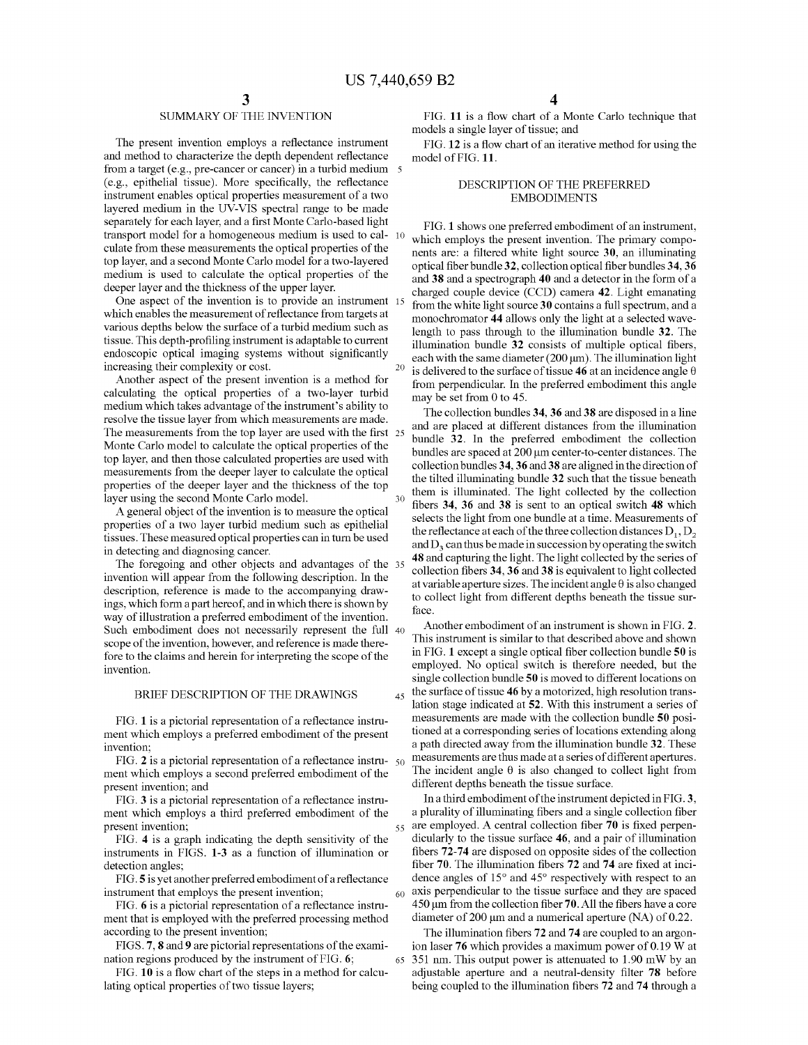# SUMMARY OF THE INVENTION

The present invention employs a reflectance instrument and method to characterize the depth dependent reflectance from a target (e.g., pre-cancer or cancer) in a turbid medium 5 (e.g., epithelial tissue). More specifically, the reflectance instrument enables optical properties measurement of a two layered medium in the UV-VIS spectral range to be made separately for each layer, and a first Monte Carlo-based light transport model for a homogeneous medium is used to cal- 10 culate from these measurements the optical properties of the top layer, and a second Monte Carlo model for a two-layered medium is used to calculate the optical properties of the deeper layer and the thickness of the upper layer.

One aspect of the invention is to provide an instrument 15 which enables the measurement of reflectance from targets at various depths below the surface of a turbid medium such as tissue. This depth-profiling instrument is adaptable to current endoscopic optical imaging systems without significantly increasing their complexity or cost.

Another aspect of the present invention is a method for calculating the optical properties of a two-layer turbid medium which takes advantage of the instrument's ability to resolve the tissue layer from which measurements are made. The measurements from the top layer are used with the first 25 Monte Carlo model to calculate the optical properties of the top layer, and then those calculated properties are used with measurements from the deeper layer to calculate the optical properties of the deeper layer and the thickness of the top layer using the second Monte Carlo model.

A general object of the invention is to measure the optical properties of a two layer turbid medium such as epithelial tissues. These measured optical properties can in tum be used in detecting and diagnosing cancer.

The foregoing and other objects and advantages of the 35 invention will appear from the following description. In the description, reference is made to the accompanying drawings, which form a part hereof, and in which there is shown by way of illustration a preferred embodiment of the invention. Such embodiment does not necessarily represent the full 40 scope of the invention, however, and reference is made therefore to the claims and herein for interpreting the scope of the

### BRIEF DESCRIPTION OF THE DRAWINGS

FIG. **1** is a pictorial representation of a reflectance instrument which employs a preferred embodiment of the present invention;

FIG. **2** is a pictorial representation of a reflectance instrument which employs a second preferred embodiment of the present invention; and

FIG. **3** is a pictorial representation of a reflectance instrument which employs a third preferred embodiment of the present invention;

FIG. **4** is a graph indicating the depth sensitivity of the instruments in FIGS. **1-3** as a function of illumination or detection angles;

FIG. **5** is yet another preferred embodiment of a reflectance instrument that employs the present invention;

FIG. **6** is a pictorial representation of a reflectance instrument that is employed with the preferred processing method according to the present invention;

FIGS. **7, 8 and 9** are pictorial representations of the examination regions produced by the instrument of FIG. **6;** 

FIG. **10** is a flow chart of the steps in a method for calculating optical properties of two tissue layers;

FIG. **11** is a flow chart of a Monte Carlo technique that models a single layer of tissue; and

FIG. **12** is a flow chart of an iterative method for using the model of FIG. **11.** 

## DESCRIPTION OF THE PREFERRED EMBODIMENTS

FIG. **1** shows one preferred embodiment of an instrument, which employs the present invention. The primary components are: a filtered white light source **30,** an illuminating optical fiber bundle **32,** collection optical fiber bundles **34, 36**  and **38** and a spectrograph **40** and a detector in the form of a charged couple device (CCD) camera **42.** Light emanating from the white light source **30** contains a full spectrum, and a monochromator **44** allows only the light at a selected wavelength to pass through to the illumination bundle **32.** The illumination bundle **32** consists of multiple optical fibers, each with the same diameter  $(200 \,\mu m)$ . The illumination light <sup>20</sup> is delivered to the surface of tissue **46** at an incidence angle  $\theta$ from perpendicular. In the preferred embodiment this angle may be set from 0 to 45.

The collection bundles **34, 36 and 38** are disposed in a line and are placed at different distances from the illumination bundle **32.** In the preferred embodiment the collection bundles are spaced at 200 µm center-to-center distances. The collection bundles **34, 36 and 38** are aligned in the direction of the tilted illuminating bundle **32** such that the tissue beneath them is illuminated. The light collected by the collection fibers **34, 36 and 38** is sent to an optical switch **48** which selects the light from one bundle at a time. Measurements of the reflectance at each of the three collection distances  $D_1, D_2$ and  $D_3$  can thus be made in succession by operating the switch **48** and capturing the light. The light collected by the series of collection fibers **34, 36 and 38** is equivalent to light collected at variable aperture sizes. The incident angle  $\theta$  is also changed to collect light from different depths beneath the tissue surface.

Another embodiment of an instrument is shown in FIG. **2.**  This instrument is similar to that described above and shown in FIG. **1** except a single optical fiber collection bundle **50** is employed. No optical switch is therefore needed, but the invention.<br>single collection bundle **50** is moved to different locations on invention. 45 the surface of tissue **46** by a motorized, high resolution translation stage indicated at **52.** With this instrument a series of measurements are made with the collection bundle **50** positioned at a corresponding series of locations extending along a path directed away from the illumination bundle **32.** These measurements are thus made at a series of different apertures. The incident angle  $\theta$  is also changed to collect light from different depths beneath the tissue surface.

> In a third embodiment of the instrument depicted in FIG. **3,**  a plurality of illuminating fibers and a single collection fiber 55 are employed. A central collection fiber **70** is fixed perpendicularly to the tissue surface **46,** and a pair of illumination fibers **72-74** are disposed on opposite sides of the collection fiber **70.** The illumination fibers **72** and **74** are fixed at incidence angles of 15° and 45° respectively with respect to an 60 axis perpendicular to the tissue surface and they are spaced 450 µm from the collection fiber **70.** All the fibers have a core diameter of 200 µm and a numerical aperture (NA) of 0.22.

> The illumination fibers **72 and 74** are coupled to an argonion laser **76** which provides a maximum power of 0.19 W at 65 351 nm. This output power is attenuated to 1.90 mW by an adjustable aperture and a neutral-density filter **78** before being coupled to the illumination fibers **72** and **74** through a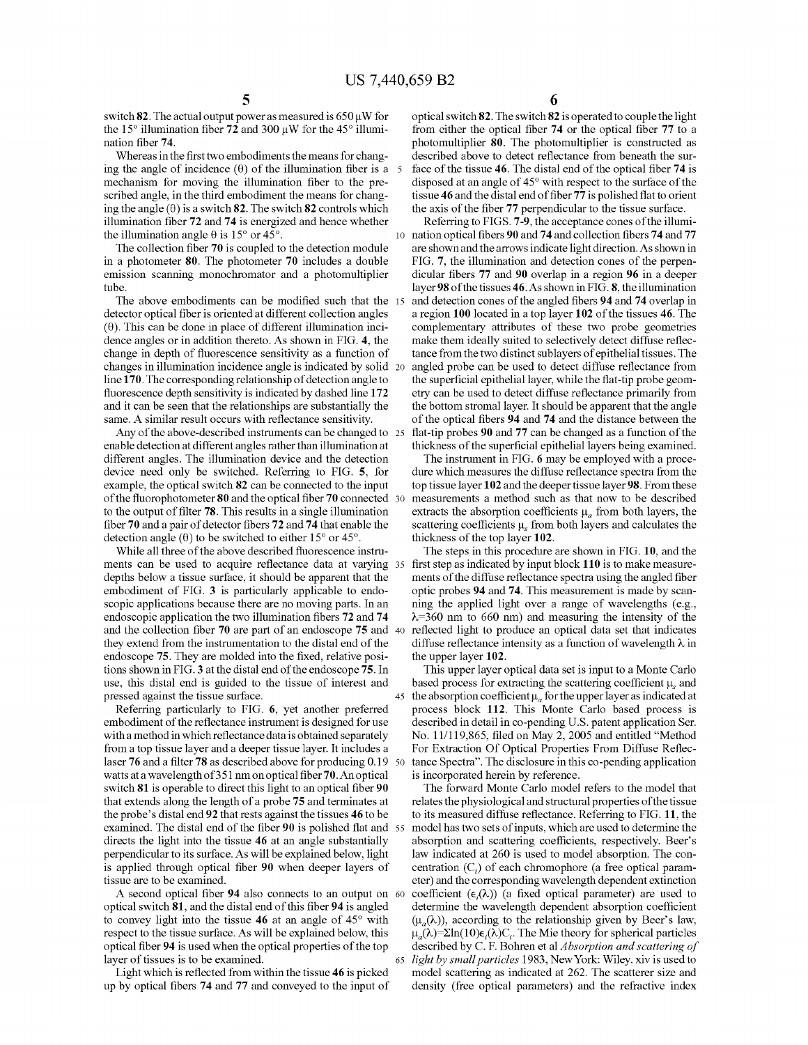switch **82**. The actual output power as measured is 650 µW for the 15° illumination fiber **72** and 300 µW for the 45° illumination fiber **74.** 

Whereas in the first two embodiments the means for changing the angle of incidence  $(\theta)$  of the illumination fiber is a 5 mechanism for moving the illumination fiber to the prescribed angle, in the third embodiment the means for changing the angle  $(\theta)$  is a switch **82**. The switch **82** controls which illumination fiber **72 and 74** is energized and hence whether the illumination angle 8 is 15° or 45°. 10 nation optical fibers **90** and **74** and collection fibers **74 and 77** 

The collection fiber **70** is coupled to the detection module in a photometer **80.** The photometer **70** includes a double emission scanning monochromator and a photomultiplier tube.

The above embodiments can be modified such that the 15 detector optical fiber is oriented at different collection angles a region **100** located in a top layer **102** of the tissues **46.** The  $(0)$ . This can be done in place of different illumination incidence angles or in addition thereto. As shown in FIG. **4,** the change in depth of fluorescence sensitivity as a function of changes in illumination incidence angle is indicated by solid line **170.** The corresponding relationship of detection angle to fluorescence depth sensitivity is indicated by dashed line **172**  and it can be seen that the relationships are substantially the same. A similar result occurs with reflectance sensitivity.

Any of the above-described instruments can be changed to 25 enable detection at different angles rather than illumination at different angles. The illumination device and the detection device need only be switched. Referring to FIG. **5,** for example, the optical switch **82** can be connected to the input of the fluorophotometer **80** and the optical fiber **70** connected to the output of filter **78.** This results in a single illumination fiber **70** and a pair of detector fibers **72** and **7 4** that enable the detection angle  $(\theta)$  to be switched to either 15° or 45°.

While all three of the above described fluorescence instruments can be used to acquire reflectance data at varying 35 first step as indicated by input block **110** is to make measuredepths below a tissue surface, it should be apparent that the embodiment of FIG. **3** is particularly applicable to endoscopic applications because there are no moving parts. In an endoscopic application the two illumination fibers **72** and **74**  and the collection fiber **70** are part of an endoscope **75** and 40 reflected light to produce an optical data set that indicates they extend from the instrumentation to the distal end of the endoscope **75.** They are molded into the fixed, relative positions shown in FIG. **3** at the distal end of the endoscope **75. In**  use, this distal end is guided to the tissue of interest and pressed against the tissue surface.

Referring particularly to FIG. **6,** yet another preferred embodiment of the reflectance instrument is designed for use with a method in which reflectance data is obtained separately from a top tissue layer and a deeper tissue layer. It includes a laser **76** and a filter **78** as described above for producing 0.19 watts ata wavelengthof351 nm on optical fiber70.Anoptical switch **81** is operable to direct this light to an optical fiber **90**  that extends along the length of a probe **75** and terminates at the probe's distal end **92** that rests against the tissues **46** to be examined. The distal end of the fiber **90** is polished flat and 55 directs the light into the tissue **46** at an angle substantially perpendicular to its surface. As will be explained below, light is applied through optical fiber **90** when deeper layers of tissue are to be examined.

A second optical fiber **94** also connects to an output on 60 optical switch **81,** and the distal end of this fiber **94** is angled to convey light into the tissue **46** at an angle of 45° with respect to the tissue surface. As will be explained below, this optical fiber **94** is used when the optical properties of the top layer of tissues is to be examined.

Light which is reflected from within the tissue **46** is picked up by optical fibers **74** and **77** and conveyed to the input of **6** 

optical switch **82.** The switch **82** is operated to couple the light from either the optical fiber **74** or the optical fiber **77** to a photomultiplier **80.** The photomultiplier is constructed as described above to detect reflectance from beneath the surface of the tissue **46.** The distal end of the optical fiber **74** is disposed at an angle of 45° with respect to the surface of the tissue **46** and the distal end of fiber **77** is polished flat to orient the axis of the fiber **77** perpendicular to the tissue surface.

Referring to FIGS. **7-9,** the acceptance cones of the illumiare shown and the arrows indicate light direction. As shown in FIG. **7,** the illumination and detection cones of the perpendicular fibers **77** and **90** overlap in a region **96** in a deeper layer **98** of the tissues **46.As** shown in FIG. **8,** the illumination and detection cones of the angled fibers **94** and **74** overlap in complementary attributes of these two probe geometries make them ideally suited to selectively detect diffuse reflectance from the two distinct sublayers of epithelial tissues. The angled probe can be used to detect diffuse reflectance from the superficial epithelial layer, while the flat-tip probe geometry can be used to detect diffuse reflectance primarily from the bottom stromal layer. It should be apparent that the angle of the optical fibers **94** and **74** and the distance between the 25 flat-tip probes **90** and **77** can be changed as a function of the thickness of the superficial epithelial layers being examined.

The instrument in FIG. **6** may be employed with a procedure which measures the diffuse reflectance spectra from the top tissue layer **102** and the deeper tissue layer **98.** From these measurements a method such as that now to be described extracts the absorption coefficients  $\mu_a$  from both layers, the scattering coefficients  $\mu$ , from both layers and calculates the thickness of the top layer **102.** 

The steps in this procedure are shown in FIG. **10,** and the ments of the diffuse reflectance spectra using the angled fiber optic probes **94** and **74.** This measurement is made by scanning the applied light over a range of wavelengths (e.g.,  $\lambda$ =360 nm to 660 nm) and measuring the intensity of the diffuse reflectance intensity as a function of wavelength  $\lambda$  in the upper layer **102.** 

This upper layer optical data set is input to a Monte Carlo based process for extracting the scattering coefficient  $\mu_s$  and 45 the absorption coefficient  $\mu_a$  for the upper layer as indicated at process block **112.** This Monte Carlo based process is described in detail in co-pending U.S. patent application Ser. No. 11/119,865, filed on May 2, 2005 and entitled "Method For Extraction Of Optical Properties From Diffuse Reflectance Spectra". The disclosure in this co-pending application is incorporated herein by reference.

The forward Monte Carlo model refers to the model that relates the physiological and structural properties of the tissue to its measured diffuse reflectance. Referring to FIG. **11,** the model has two sets of inputs, which are used to determine the absorption and scattering coefficients, respectively. Beer's law indicated at 260 is used to model absorption. The concentration  $(C_i)$  of each chromophore (a free optical parameter) and the corresponding wavelength dependent extinction coefficient  $(\epsilon_i(\lambda))$  (a fixed optical parameter) are used to determine the wavelength dependent absorption coefficient  $(\mu_{\alpha}(\lambda))$ , according to the relationship given by Beer's law,  $\mu_{a}(\lambda)=\Sigma \ln(10)\epsilon_{i}(\lambda)C_{i}$ . The Mie theory for spherical particles described by C. F. Bohren et al *Absorption and scattering of*  65 *light by small particles* 1983, New York: Wiley. xiv is used to model scattering as indicated at 262. The scatterer size and density (free optical parameters) and the refractive index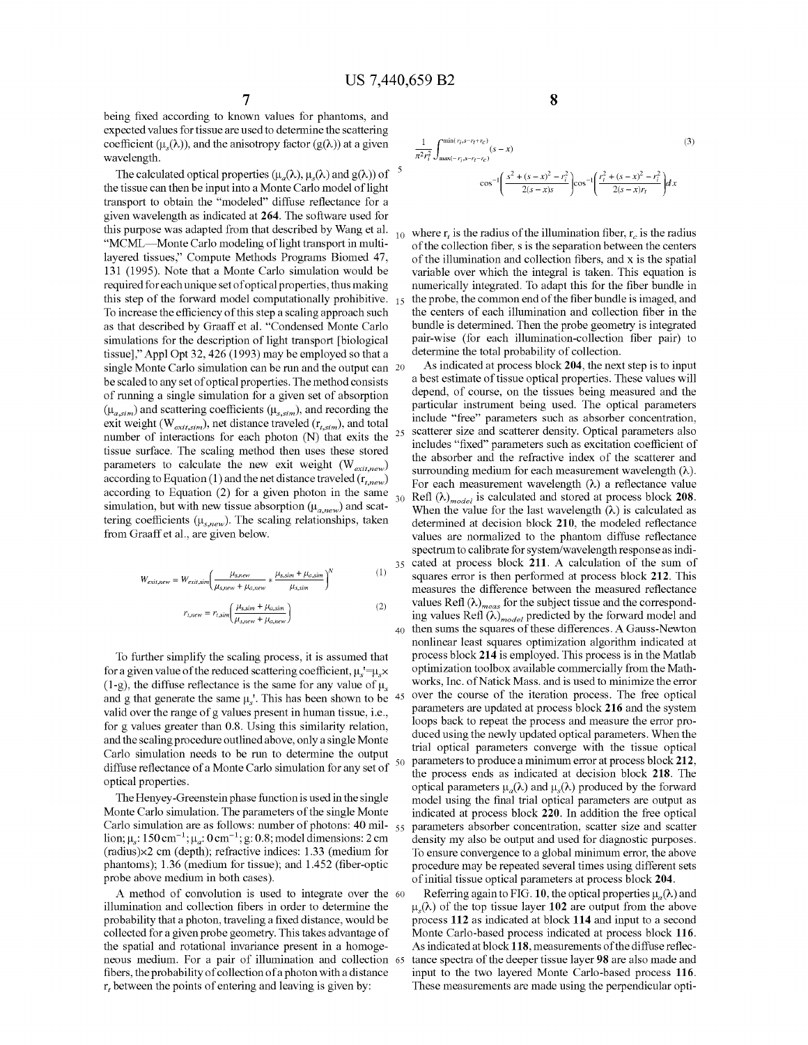being fixed according to known values for phantoms, and expected values for tissue are used to determine the scattering coefficient ( $\mu_s(\lambda)$ ), and the anisotropy factor ( $g(\lambda)$ ) at a given wavelength.

The calculated optical properties  $(\mu_a(\lambda), \mu_s(\lambda))$  and  $g(\lambda)$ ) of the tissue can then be input into a Monte Carlo model of light transport to obtain the "modeled" diffuse reflectance for a given wavelength as indicated at **264.** The software used for this purpose was adapted from that described by Wang et al.<br>"MCML—Monte Carlo modeling of light transport in multilayered tissues," Compute Methods Programs Biomed 47, 131 (1995). Note that a Monte Carlo simulation would be required for each unique set of optical properties, thus making this step of the forward model computationally prohibitive.  $_{15}$ To increase the efficiency of this step a scaling approach such as that described by Graaff et al. "Condensed Monte Carlo simulations for the description of light transport [biological tissue]," Appl Opt 32,426 (1993) may be employed so that a single Monte Carlo simulation can be run and the output can 20 be scaled to any set of optical properties. The method consists of running a single simulation for a given set of absorption  $(\mu_{a,sim})$  and scattering coefficients  $(\mu_{s,sim})$ , and recording the exit weight *(W<sub>exit.sim</sub>)*, net distance traveled  $(r_{t,sim})$ , and total number of interactions for each photon  $(N)$  that exits the <sup>25</sup> tissue surface. The scaling method then uses these stored parameters to calculate the new exit weight (W<sub>exit.new</sub>) according to Equation (1) and the net distance traveled ( $r_{t,new}$ ) according to Equation (2) for a given photon in the same simulation, but with new tissue absorption  $(\mu_{a,new})$  and scattering coefficients ( $\mu_{s,new}$ ). The scaling relationships, taken from Graaff et al., are given below.

$$
W_{extiprew} = W_{extip, sim} \left( \frac{\mu_{s, new}}{\mu_{s, new} + \mu_{a, new}} * \frac{\mu_{s, sim} + \mu_{a, sim}}{\mu_{s, sim}} \right)^{N}
$$
 (1)

$$
r_{t,new} = r_{t,sim} \left( \frac{\mu_{s,sim} + \mu_{a,sim}}{\mu_{s,new} + \mu_{a,new}} \right)
$$
 (2)

To further simplify the scaling process, it is assumed that for a given value of the reduced scattering coefficient,  $\mu_s = \mu_s \times$ (1-g), the diffuse reflectance is the same for any value of  $\mu_s$ and g that generate the same  $\mu_s$ . This has been shown to be valid over the range of g values present in human tissue, i.e., for g values greater than 0.8. Using this similarity relation, and the scaling procedure outlined above, only a single Monte Carlo simulation needs to be run to determine the output diffuse reflectance of a Monte Carlo simulation for any set of optical properties.

The Henyey-Greenstein phase function is used in the single Monte Carlo simulation. The parameters of the single Monte Carlo simulation are as follows: number of photons: 40 million;  $\mu_s$ : 150 cm<sup>-1</sup>;  $\mu_a$ : 0 cm<sup>-1</sup>; g: 0.8; model dimensions: 2 cm (radius)x2 cm (depth); refractive indices: 1.33 (medium for phantoms); 1.36 (medium for tissue); and 1.452 (fiber-optic probe above medium in both cases).

A method of convolution is used to integrate over the 60 illumination and collection fibers in order to determine the probability that a photon, traveling a fixed distance, would be collected for a given probe geometry. This takes advantage of the spatial and rotational invariance present in a homogeneous medium. For a pair of illumination and collection fibers, the probability of collection ofa photon with a distance  $r_t$  between the points of entering and leaving is given by:

**8** 

$$
\frac{1}{\pi^{2}r_{i}^{2}} \int_{\max(-r_{i}, s-r_{i}-r_{c})}^{\min(r_{i}, s-r_{i}-r_{c})} (s-x)
$$
\n
$$
\cos^{-1}\left(\frac{s^{2}+(s-x)^{2}-r_{i}^{2}}{2(s-x)s}\right) \cos^{-1}\left(\frac{r_{i}^{2}+(s-x)^{2}-r_{i}^{2}}{2(s-x)r_{i}}\right) dx
$$
\n(3)

 $r<sub>10</sub>$  where r, is the radius of the illumination fiber, r<sub>c</sub> is the radius of the collection fiber, sis the separation between the centers of the illumination and collection fibers, and  $x$  is the spatial variable over which the integral is taken. This equation is numerically integrated. To adapt this for the fiber bundle in the probe, the common end of the fiber bundle is imaged, and the centers of each illumination and collection fiber in the bundle is determined. Then the probe geometry is integrated pair-wise (for each illumination-collection fiber pair) to determine the total probability of collection.

As indicated at process block **204,** the next step is to input a best estimate of tissue optical properties. These values will depend, of course, on the tissues being measured and the particular instrument being used. The optical parameters include "free" parameters such as absorber concentration, scatterer size and scatterer density. Optical parameters also includes "fixed" parameters such as excitation coefficient of the absorber and the refractive index of the scatterer and surrounding medium for each measurement wavelength  $(\lambda)$ . For each measurement wavelength  $(\lambda)$  a reflectance value Refl  $(\lambda)_{model}$  is calculated and stored at process block 208. When the value for the last wavelength  $(\lambda)$  is calculated as determined at decision block **210,** the modeled reflectance values are normalized to the phantom diffuse reflectance spectrum to calibrate for system/wavelength response as indi- $\frac{1}{35}$  cated at process block 211. A calculation of the sum of squares error is then performed at process block 212. This measures the difference between the measured reflectance values Refl  $(\lambda)_{meas}$  for the subject tissue and the corresponding values Refl  $(\lambda)_{model}$  predicted by the forward model and 40 then sums the squares of these differences. A Gauss-Newton nonlinear least squares optimization algorithm indicated at process block **214** is employed. This process is in the Matlab optimization toolbox available commercially from the Mathworks, Inc. of Natick Mass. and is used to minimize the error over the course of the iteration process. The free optical parameters are updated at process block **216** and the system loops back to repeat the process and measure the error produced using the newly updated optical parameters. When the trial optical parameters converge with the tissue optical 50 parameters to produce a minimum error at process block **212,**  the process ends as indicated at decision block **218.** The optical parameters  $\mu_a(\lambda)$  and  $\mu_s(\lambda)$  produced by the forward model using the final trial optical parameters are output as indicated at process block **220.** In addition the free optical 55 parameters absorber concentration, scatter size and scatter density my also be output and used for diagnostic purposes. To ensure convergence to a global minimum error, the above procedure may be repeated several times using different sets of initial tissue optical parameters at process block **204.** 

Referring again to FIG. 10, the optical properties  $\mu_a(\lambda)$  and  $\mu_{\alpha}(\lambda)$  of the top tissue layer 102 are output from the above process **112** as indicated at block **114** and input to a second Monte Carlo-based process indicated at process block **116.**  As indicated at block **118,** measurements of the diffuse reflec-65 tance spectra of the deeper tissue layer **98** are also made and input to the two layered Monte Carlo-based process **116.**  These measurements are made using the perpendicular opti-